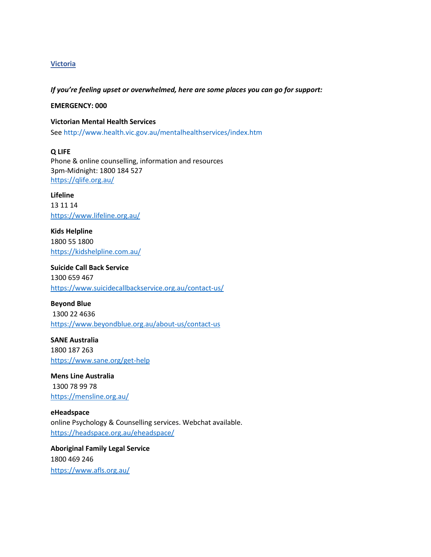## **Victoria**

*If you're feeling upset or overwhelmed, here are some places you can go for support:*

**EMERGENCY: 000**

**Victorian Mental Health Services** See http://www.health.vic.gov.au/mentalhealthservices/index.htm

**Q LIFE** Phone & online counselling, information and resources 3pm-Midnight: 1800 184 527 <https://qlife.org.au/>

**Lifeline**  13 11 14 <https://www.lifeline.org.au/>

**Kids Helpline** 1800 55 1800 <https://kidshelpline.com.au/>

**Suicide Call Back Service** 1300 659 467 <https://www.suicidecallbackservice.org.au/contact-us/>

**Beyond Blue** 1300 22 4636 <https://www.beyondblue.org.au/about-us/contact-us>

**SANE Australia** 1800 187 263 <https://www.sane.org/get-help>

**Mens Line Australia** 1300 78 99 78 <https://mensline.org.au/>

**eHeadspace** online Psychology & Counselling services. Webchat available. <https://headspace.org.au/eheadspace/>

**Aboriginal Family Legal Service** 1800 469 246 <https://www.afls.org.au/>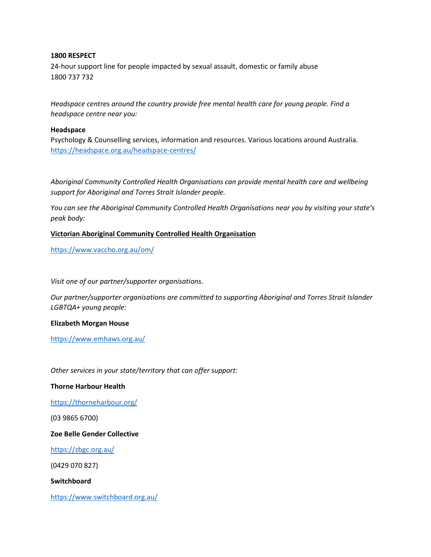## **1800 RESPECT**

24-hour support line for people impacted by sexual assault, domestic or family abuse 1800 737 732

*Headspace centres around the country provide free mental health care for young people. Find a headspace centre near you:*

### **Headspace**

Psychology & Counselling services, information and resources. Various locations around Australia. <https://headspace.org.au/headspace-centres/>

*Aboriginal Community Controlled Health Organisations can provide mental health care and wellbeing support for Aboriginal and Torres Strait Islander people.* 

*You can see the Aboriginal Community Controlled Health Organisations near you by visiting your state's peak body:*

## **Victorian Aboriginal Community Controlled Health Organisation**

<https://www.vaccho.org.au/om/>

*Visit one of our partner/supporter organisations.*

*Our partner/supporter organisations are committed to supporting Aboriginal and Torres Strait Islander LGBTQA+ young people:*

#### **Elizabeth Morgan House**

<https://www.emhaws.org.au/>

*Other services in your state/territory that can offer support:*

#### **Thorne Harbour Health**

<https://thorneharbour.org/>

(03 9865 6700)

# **Zoe Belle Gender Collective**

<https://zbgc.org.au/>

(0429 070 827)

**Switchboard**

<https://www.switchboard.org.au/>